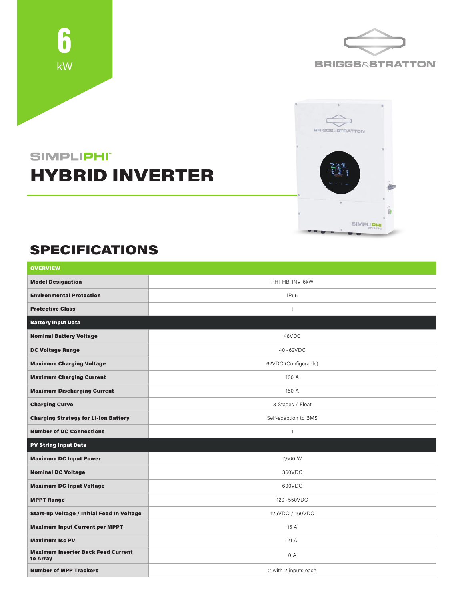





## **SIMPLIPHI** HYBRID INVERTER

## SPECIFICATIONS

| <b>OVERVIEW</b>                                       |                          |  |
|-------------------------------------------------------|--------------------------|--|
| <b>Model Designation</b>                              | PHI-HB-INV-6kW           |  |
| <b>Environmental Protection</b>                       | IP65                     |  |
| <b>Protective Class</b>                               | $\overline{\phantom{a}}$ |  |
| <b>Battery Input Data</b>                             |                          |  |
| <b>Nominal Battery Voltage</b>                        | 48VDC                    |  |
| <b>DC Voltage Range</b>                               | 40~62VDC                 |  |
| <b>Maximum Charging Voltage</b>                       | 62VDC (Configurable)     |  |
| <b>Maximum Charging Current</b>                       | 100 A                    |  |
| <b>Maximum Discharging Current</b>                    | 150 A                    |  |
| <b>Charging Curve</b>                                 | 3 Stages / Float         |  |
| <b>Charging Strategy for Li-Ion Battery</b>           | Self-adaption to BMS     |  |
| <b>Number of DC Connections</b>                       | $\mathbf{1}$             |  |
| <b>PV String Input Data</b>                           |                          |  |
| <b>Maximum DC Input Power</b>                         | 7,500 W                  |  |
| <b>Nominal DC Voltage</b>                             | 360VDC                   |  |
| <b>Maximum DC Input Voltage</b>                       | 600VDC                   |  |
| <b>MPPT Range</b>                                     | 120~550VDC               |  |
| <b>Start-up Voltage / Initial Feed In Voltage</b>     | 125VDC / 160VDC          |  |
| <b>Maximum Input Current per MPPT</b>                 | 15 A                     |  |
| <b>Maximum Isc PV</b>                                 | 21A                      |  |
| <b>Maximum Inverter Back Feed Current</b><br>to Array | 0 A                      |  |
| <b>Number of MPP Trackers</b>                         | 2 with 2 inputs each     |  |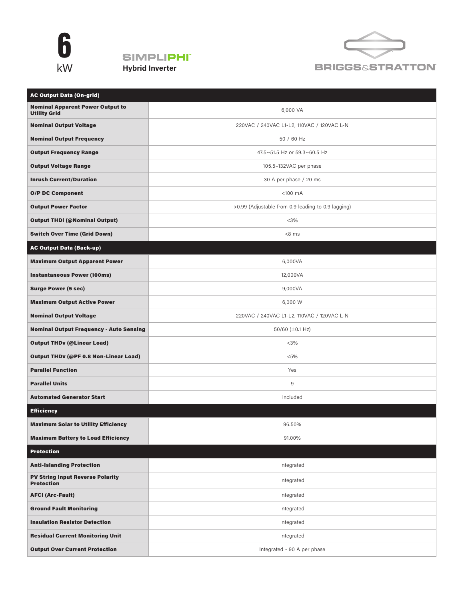





| <b>AC Output Data (On-grid)</b>                                |                                                    |
|----------------------------------------------------------------|----------------------------------------------------|
| <b>Nominal Apparent Power Output to</b><br><b>Utility Grid</b> | 6,000 VA                                           |
| <b>Nominal Output Voltage</b>                                  | 220VAC / 240VAC L1-L2, 110VAC / 120VAC L-N         |
| <b>Nominal Output Frequency</b>                                | 50 / 60 Hz                                         |
| <b>Output Frequency Range</b>                                  | 47.5~51.5 Hz or 59.3~60.5 Hz                       |
| <b>Output Voltage Range</b>                                    | 105.5-132VAC per phase                             |
| <b>Inrush Current/Duration</b>                                 | 30 A per phase / 20 ms                             |
| <b>O/P DC Component</b>                                        | $<$ 100 $mA$                                       |
| <b>Output Power Factor</b>                                     | >0.99 (Adjustable from 0.9 leading to 0.9 lagging) |
| <b>Output THDi (@Nominal Output)</b>                           | $<$ 3%                                             |
| <b>Switch Over Time (Grid Down)</b>                            | $<8$ ms                                            |
| <b>AC Output Data (Back-up)</b>                                |                                                    |
| <b>Maximum Output Apparent Power</b>                           | 6,000VA                                            |
| <b>Instantaneous Power (100ms)</b>                             | 12,000VA                                           |
| <b>Surge Power (5 sec)</b>                                     | 9,000VA                                            |
| <b>Maximum Output Active Power</b>                             | 6,000 W                                            |
| <b>Nominal Output Voltage</b>                                  | 220VAC / 240VAC L1-L2, 110VAC / 120VAC L-N         |
| <b>Nominal Output Frequency - Auto Sensing</b>                 | 50/60 (±0.1 Hz)                                    |
| <b>Output THDv (@Linear Load)</b>                              | $<$ 3%                                             |
| <b>Output THDv (@PF 0.8 Non-Linear Load)</b>                   | $< 5\%$                                            |
| <b>Parallel Function</b>                                       | Yes                                                |
| <b>Parallel Units</b>                                          | 9                                                  |
| <b>Automated Generator Start</b>                               | Included                                           |
| <b>Efficiency</b>                                              |                                                    |
| <b>Maximum Solar to Utility Efficiency</b>                     | 96.50%                                             |
| <b>Maximum Battery to Load Efficiency</b>                      | 91.00%                                             |
| <b>Protection</b>                                              |                                                    |
| <b>Anti-Islanding Protection</b>                               | Integrated                                         |
| <b>PV String Input Reverse Polarity</b><br><b>Protection</b>   | Integrated                                         |
| <b>AFCI (Arc-Fault)</b>                                        | Integrated                                         |
| <b>Ground Fault Monitoring</b>                                 | Integrated                                         |
| <b>Insulation Resistor Detection</b>                           | Integrated                                         |
| <b>Residual Current Monitoring Unit</b>                        | Integrated                                         |
| <b>Output Over Current Protection</b>                          | Integrated - 90 A per phase                        |